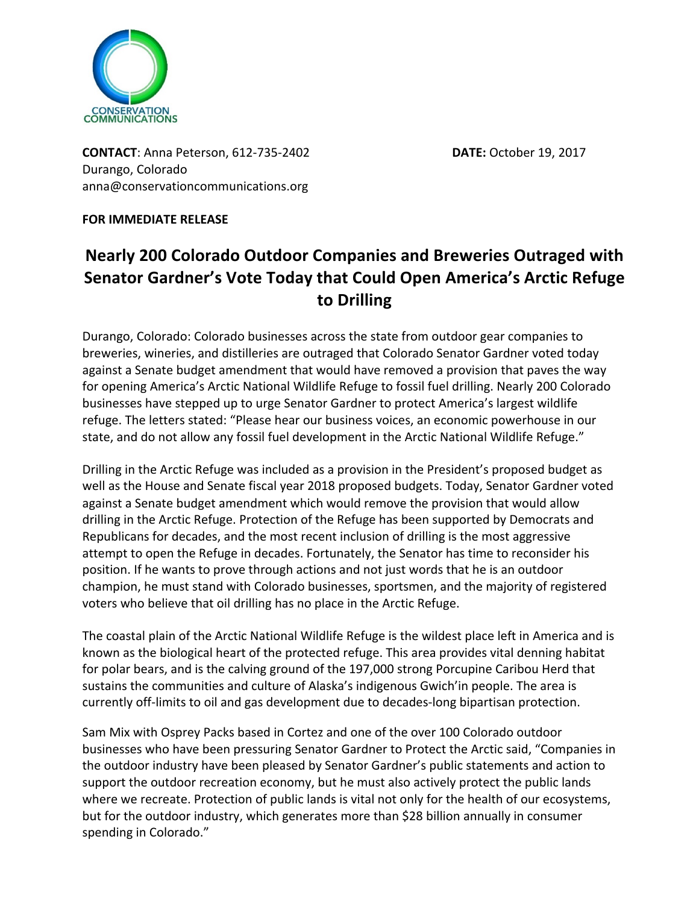

**CONTACT**: Anna Peterson, 612-735-2402 **DATE:** October 19, 2017 Durango, Colorado anna@conservationcommunications.org

**FOR IMMEDIATE RELEASE** 

**Nearly 200 Colorado Outdoor Companies and Breweries Outraged with Senator Gardner's Vote Today that Could Open America's Arctic Refuge to Drilling**

Durango, Colorado: Colorado businesses across the state from outdoor gear companies to breweries, wineries, and distilleries are outraged that Colorado Senator Gardner voted today against a Senate budget amendment that would have removed a provision that paves the way for opening America's Arctic National Wildlife Refuge to fossil fuel drilling. Nearly 200 Colorado businesses have stepped up to urge Senator Gardner to protect America's largest wildlife refuge. The letters stated: "Please hear our business voices, an economic powerhouse in our state, and do not allow any fossil fuel development in the Arctic National Wildlife Refuge."

Drilling in the Arctic Refuge was included as a provision in the President's proposed budget as well as the House and Senate fiscal year 2018 proposed budgets. Today, Senator Gardner voted against a Senate budget amendment which would remove the provision that would allow drilling in the Arctic Refuge. Protection of the Refuge has been supported by Democrats and Republicans for decades, and the most recent inclusion of drilling is the most aggressive attempt to open the Refuge in decades. Fortunately, the Senator has time to reconsider his position. If he wants to prove through actions and not just words that he is an outdoor champion, he must stand with Colorado businesses, sportsmen, and the majority of registered voters who believe that oil drilling has no place in the Arctic Refuge.

The coastal plain of the Arctic National Wildlife Refuge is the wildest place left in America and is known as the biological heart of the protected refuge. This area provides vital denning habitat for polar bears, and is the calving ground of the 197,000 strong Porcupine Caribou Herd that sustains the communities and culture of Alaska's indigenous Gwich'in people. The area is currently off-limits to oil and gas development due to decades-long bipartisan protection.

Sam Mix with Osprey Packs based in Cortez and one of the over 100 Colorado outdoor businesses who have been pressuring Senator Gardner to Protect the Arctic said, "Companies in the outdoor industry have been pleased by Senator Gardner's public statements and action to support the outdoor recreation economy, but he must also actively protect the public lands where we recreate. Protection of public lands is vital not only for the health of our ecosystems, but for the outdoor industry, which generates more than \$28 billion annually in consumer spending in Colorado."